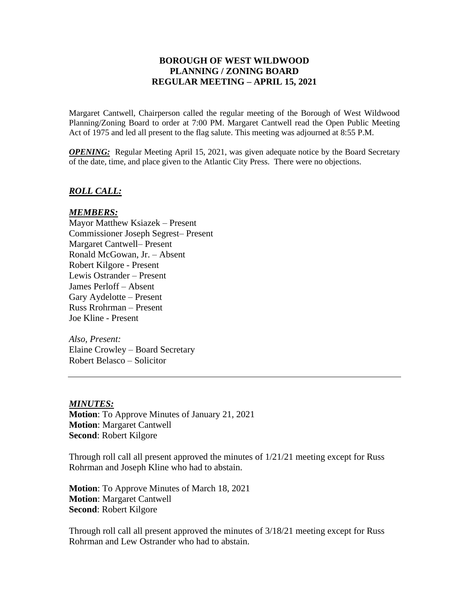## **BOROUGH OF WEST WILDWOOD PLANNING / ZONING BOARD REGULAR MEETING – APRIL 15, 2021**

Margaret Cantwell, Chairperson called the regular meeting of the Borough of West Wildwood Planning/Zoning Board to order at 7:00 PM. Margaret Cantwell read the Open Public Meeting Act of 1975 and led all present to the flag salute. This meeting was adjourned at 8:55 P.M.

*OPENING*: Regular Meeting April 15, 2021, was given adequate notice by the Board Secretary of the date, time, and place given to the Atlantic City Press. There were no objections.

### *ROLL CALL:*

### *MEMBERS:*

Mayor Matthew Ksiazek – Present Commissioner Joseph Segrest– Present Margaret Cantwell– Present Ronald McGowan, Jr. – Absent Robert Kilgore - Present Lewis Ostrander – Present James Perloff – Absent Gary Aydelotte – Present Russ Rrohrman – Present Joe Kline - Present

*Also, Present:* Elaine Crowley – Board Secretary Robert Belasco – Solicitor

#### *MINUTES:*

**Motion**: To Approve Minutes of January 21, 2021 **Motion**: Margaret Cantwell **Second**: Robert Kilgore

Through roll call all present approved the minutes of 1/21/21 meeting except for Russ Rohrman and Joseph Kline who had to abstain.

**Motion**: To Approve Minutes of March 18, 2021 **Motion**: Margaret Cantwell **Second**: Robert Kilgore

Through roll call all present approved the minutes of 3/18/21 meeting except for Russ Rohrman and Lew Ostrander who had to abstain.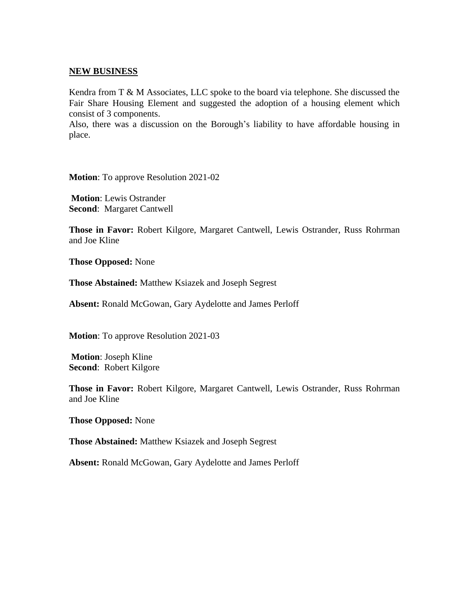### **NEW BUSINESS**

Kendra from T & M Associates, LLC spoke to the board via telephone. She discussed the Fair Share Housing Element and suggested the adoption of a housing element which consist of 3 components.

Also, there was a discussion on the Borough's liability to have affordable housing in place.

**Motion**: To approve Resolution 2021-02

**Motion**: Lewis Ostrander **Second**: Margaret Cantwell

**Those in Favor:** Robert Kilgore, Margaret Cantwell, Lewis Ostrander, Russ Rohrman and Joe Kline

**Those Opposed:** None

**Those Abstained:** Matthew Ksiazek and Joseph Segrest

**Absent:** Ronald McGowan, Gary Aydelotte and James Perloff

**Motion**: To approve Resolution 2021-03

**Motion**: Joseph Kline **Second**: Robert Kilgore

**Those in Favor:** Robert Kilgore, Margaret Cantwell, Lewis Ostrander, Russ Rohrman and Joe Kline

**Those Opposed:** None

**Those Abstained:** Matthew Ksiazek and Joseph Segrest

**Absent:** Ronald McGowan, Gary Aydelotte and James Perloff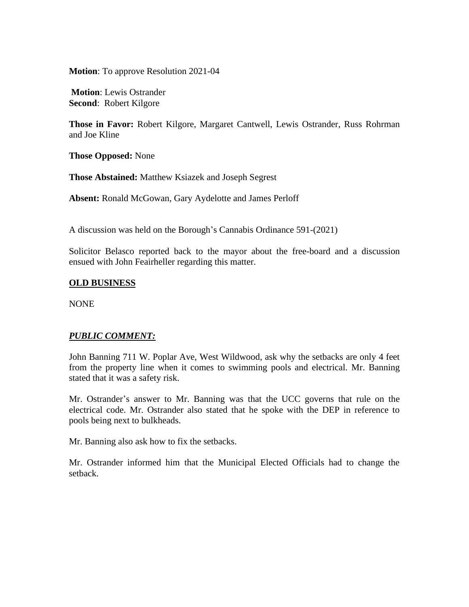**Motion**: To approve Resolution 2021-04

**Motion**: Lewis Ostrander **Second**: Robert Kilgore

**Those in Favor:** Robert Kilgore, Margaret Cantwell, Lewis Ostrander, Russ Rohrman and Joe Kline

**Those Opposed:** None

**Those Abstained:** Matthew Ksiazek and Joseph Segrest

**Absent:** Ronald McGowan, Gary Aydelotte and James Perloff

A discussion was held on the Borough's Cannabis Ordinance 591-(2021)

Solicitor Belasco reported back to the mayor about the free-board and a discussion ensued with John Feairheller regarding this matter.

## **OLD BUSINESS**

NONE

# *PUBLIC COMMENT:*

John Banning 711 W. Poplar Ave, West Wildwood, ask why the setbacks are only 4 feet from the property line when it comes to swimming pools and electrical. Mr. Banning stated that it was a safety risk.

Mr. Ostrander's answer to Mr. Banning was that the UCC governs that rule on the electrical code. Mr. Ostrander also stated that he spoke with the DEP in reference to pools being next to bulkheads.

Mr. Banning also ask how to fix the setbacks.

Mr. Ostrander informed him that the Municipal Elected Officials had to change the setback.